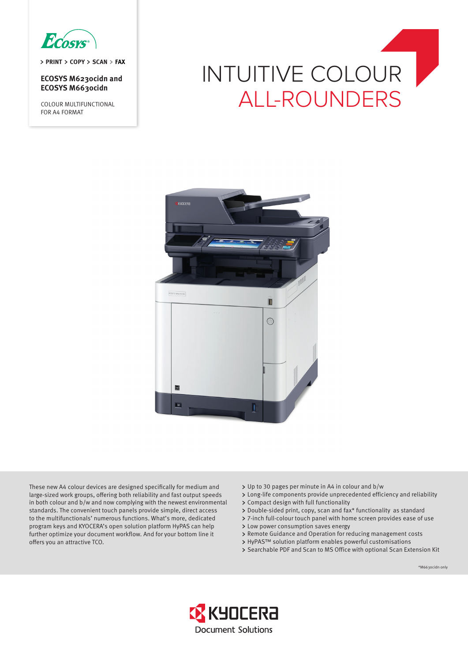

> PRINT > COPY > SCAN > FAX

**ECOSYS M6230cidn and ECOSYS M6630cidn**

COLOUR MULTIFUNCTIONAL FOR A4 FORMAT

# INTUITIVE COLOUR ALL-ROUNDERS



These new A4 colour devices are designed specifically for medium and large-sized work groups, offering both reliability and fast output speeds in both colour and b/w and now complying with the newest environmental standards. The convenient touch panels provide simple, direct access to the multifunctionals' numerous functions. What's more, dedicated program keys and KYOCERA's open solution platform HyPAS can help further optimize your document workflow. And for your bottom line it offers you an attractive TCO.

- Up to 30 pages per minute in A4 in colour and b/w
- Long-life components provide unprecedented efficiency and reliability
- Compact design with full functionality
- Double-sided print, copy, scan and fax\* functionality as standard
- 7-inch full-colour touch panel with home screen provides ease of use
- Low power consumption saves energy
- Remote Guidance and Operation for reducing management costs
- HyPAS™ solution platform enables powerful customisations
- Searchable PDF and Scan to MS Office with optional Scan Extension Kit

\*M6630cidn only